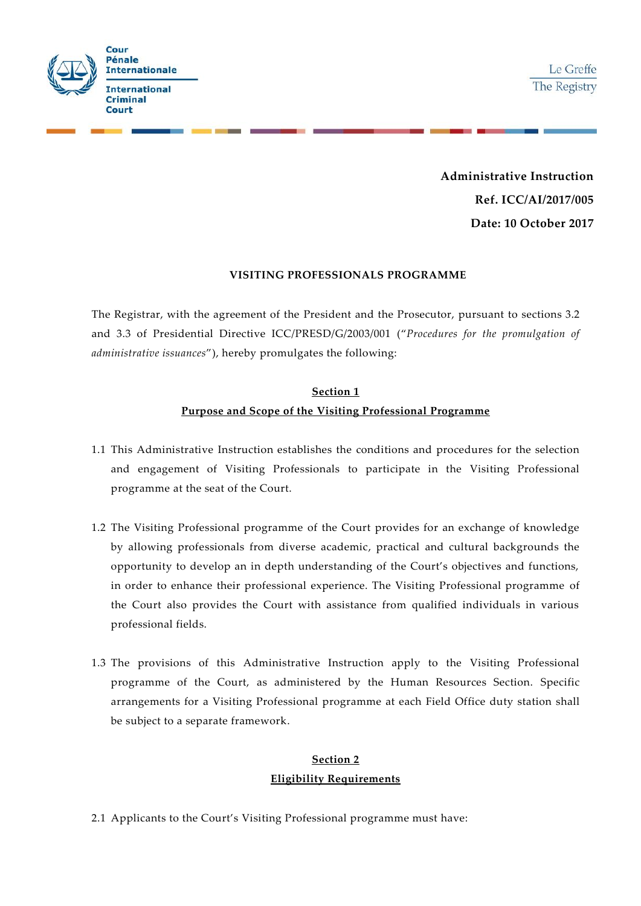

**Administrative Instruction Ref. ICC/AI/2017/005 Date: 10 October 2017**

#### **VISITING PROFESSIONALS PROGRAMME**

The Registrar, with the agreement of the President and the Prosecutor, pursuant to sections 3.2 and 3.3 of Presidential Directive ICC/PRESD/G/2003/001 ("*Procedures for the promulgation of administrative issuances*"), hereby promulgates the following:

## **Section 1 Purpose and Scope of the Visiting Professional Programme**

- 1.1 This Administrative Instruction establishes the conditions and procedures for the selection and engagement of Visiting Professionals to participate in the Visiting Professional programme at the seat of the Court.
- 1.2 The Visiting Professional programme of the Court provides for an exchange of knowledge by allowing professionals from diverse academic, practical and cultural backgrounds the opportunity to develop an in depth understanding of the Court's objectives and functions, in order to enhance their professional experience. The Visiting Professional programme of the Court also provides the Court with assistance from qualified individuals in various professional fields.
- 1.3 The provisions of this Administrative Instruction apply to the Visiting Professional programme of the Court, as administered by the Human Resources Section. Specific arrangements for a Visiting Professional programme at each Field Office duty station shall be subject to a separate framework.

### **Section 2 Eligibility Requirements**

2.1 Applicants to the Court's Visiting Professional programme must have: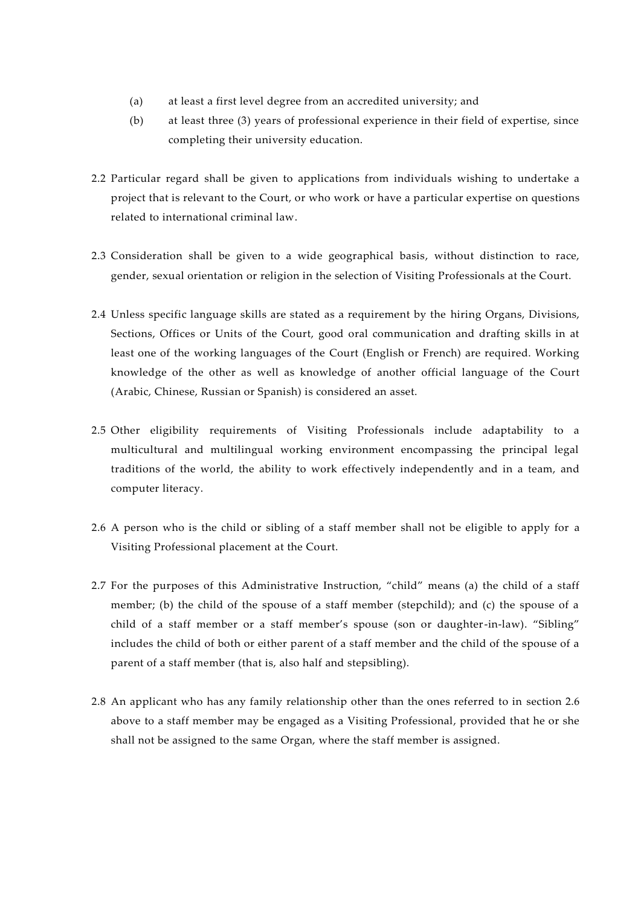- (a) at least a first level degree from an accredited university; and
- (b) at least three (3) years of professional experience in their field of expertise, since completing their university education.
- 2.2 Particular regard shall be given to applications from individuals wishing to undertake a project that is relevant to the Court, or who work or have a particular expertise on questions related to international criminal law.
- 2.3 Consideration shall be given to a wide geographical basis, without distinction to race, gender, sexual orientation or religion in the selection of Visiting Professionals at the Court.
- 2.4 Unless specific language skills are stated as a requirement by the hiring Organs, Divisions, Sections, Offices or Units of the Court, good oral communication and drafting skills in at least one of the working languages of the Court (English or French) are required. Working knowledge of the other as well as knowledge of another official language of the Court (Arabic, Chinese, Russian or Spanish) is considered an asset.
- 2.5 Other eligibility requirements of Visiting Professionals include adaptability to a multicultural and multilingual working environment encompassing the principal legal traditions of the world, the ability to work effectively independently and in a team, and computer literacy.
- 2.6 A person who is the child or sibling of a staff member shall not be eligible to apply for a Visiting Professional placement at the Court.
- 2.7 For the purposes of this Administrative Instruction, "child" means (a) the child of a staff member; (b) the child of the spouse of a staff member (stepchild); and (c) the spouse of a child of a staff member or a staff member's spouse (son or daughter-in-law). "Sibling" includes the child of both or either parent of a staff member and the child of the spouse of a parent of a staff member (that is, also half and stepsibling).
- 2.8 An applicant who has any family relationship other than the ones referred to in section 2.6 above to a staff member may be engaged as a Visiting Professional, provided that he or she shall not be assigned to the same Organ, where the staff member is assigned.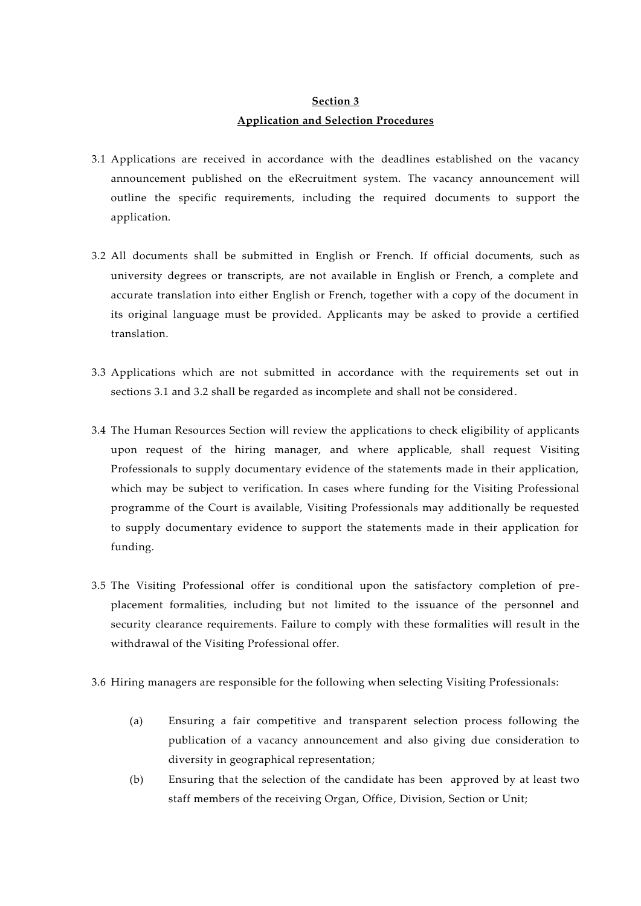## **Section 3 Application and Selection Procedures**

- <span id="page-2-0"></span>3.1 Applications are received in accordance with the deadlines established on the vacancy announcement published on the eRecruitment system. The vacancy announcement will outline the specific requirements, including the required documents to support the application.
- 3.2 All documents shall be submitted in English or French. If official documents, such as university degrees or transcripts, are not available in English or French, a complete and accurate translation into either English or French, together with a copy of the document in its original language must be provided. Applicants may be asked to provide a certified translation.
- <span id="page-2-1"></span>3.3 Applications which are not submitted in accordance with the requirements set out in sections [3.1](#page-2-0) and [3.2](#page-2-1) shall be regarded as incomplete and shall not be considered.
- 3.4 The Human Resources Section will review the applications to check eligibility of applicants upon request of the hiring manager, and where applicable, shall request Visiting Professionals to supply documentary evidence of the statements made in their application, which may be subject to verification. In cases where funding for the Visiting Professional programme of the Court is available, Visiting Professionals may additionally be requested to supply documentary evidence to support the statements made in their application for funding.
- 3.5 The Visiting Professional offer is conditional upon the satisfactory completion of preplacement formalities, including but not limited to the issuance of the personnel and security clearance requirements. Failure to comply with these formalities will result in the withdrawal of the Visiting Professional offer.
- 3.6 Hiring managers are responsible for the following when selecting Visiting Professionals:
	- (a) Ensuring a fair competitive and transparent selection process following the publication of a vacancy announcement and also giving due consideration to diversity in geographical representation;
	- (b) Ensuring that the selection of the candidate has been approved by at least two staff members of the receiving Organ, Office, Division, Section or Unit;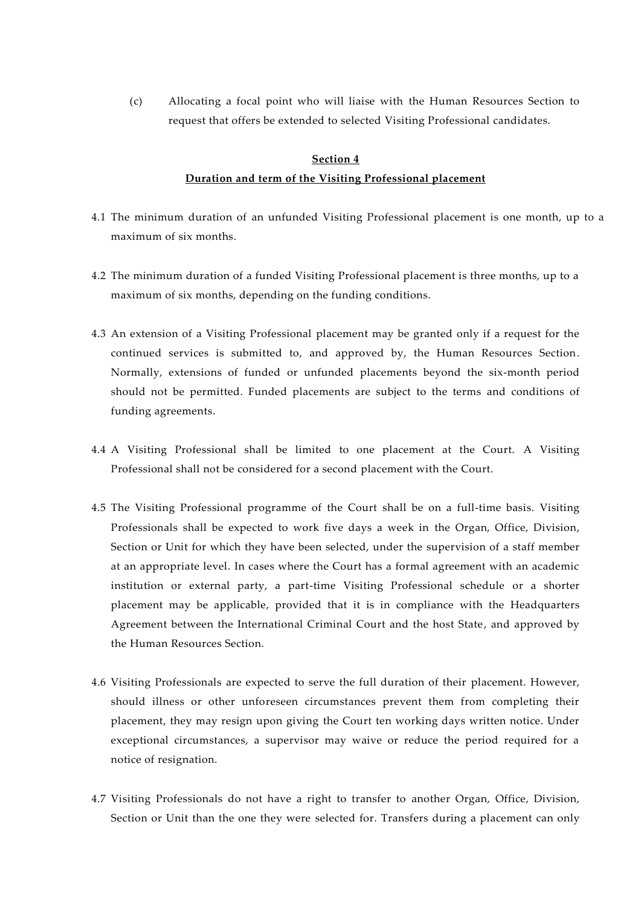(c) Allocating a focal point who will liaise with the Human Resources Section to request that offers be extended to selected Visiting Professional candidates.

#### **Section 4**

#### **Duration and term of the Visiting Professional placement**

- 4.1 The minimum duration of an unfunded Visiting Professional placement is one month, up to a maximum of six months.
- 4.2 The minimum duration of a funded Visiting Professional placement is three months, up to a maximum of six months, depending on the funding conditions.
- 4.3 An extension of a Visiting Professional placement may be granted only if a request for the continued services is submitted to, and approved by, the Human Resources Section. Normally, extensions of funded or unfunded placements beyond the six-month period should not be permitted. Funded placements are subject to the terms and conditions of funding agreements.
- 4.4 A Visiting Professional shall be limited to one placement at the Court. A Visiting Professional shall not be considered for a second placement with the Court.
- 4.5 The Visiting Professional programme of the Court shall be on a full-time basis. Visiting Professionals shall be expected to work five days a week in the Organ, Office, Division, Section or Unit for which they have been selected, under the supervision of a staff member at an appropriate level. In cases where the Court has a formal agreement with an academic institution or external party, a part-time Visiting Professional schedule or a shorter placement may be applicable, provided that it is in compliance with the Headquarters Agreement between the International Criminal Court and the host State, and approved by the Human Resources Section.
- 4.6 Visiting Professionals are expected to serve the full duration of their placement. However, should illness or other unforeseen circumstances prevent them from completing their placement, they may resign upon giving the Court ten working days written notice. Under exceptional circumstances, a supervisor may waive or reduce the period required for a notice of resignation.
- 4.7 Visiting Professionals do not have a right to transfer to another Organ, Office, Division, Section or Unit than the one they were selected for. Transfers during a placement can only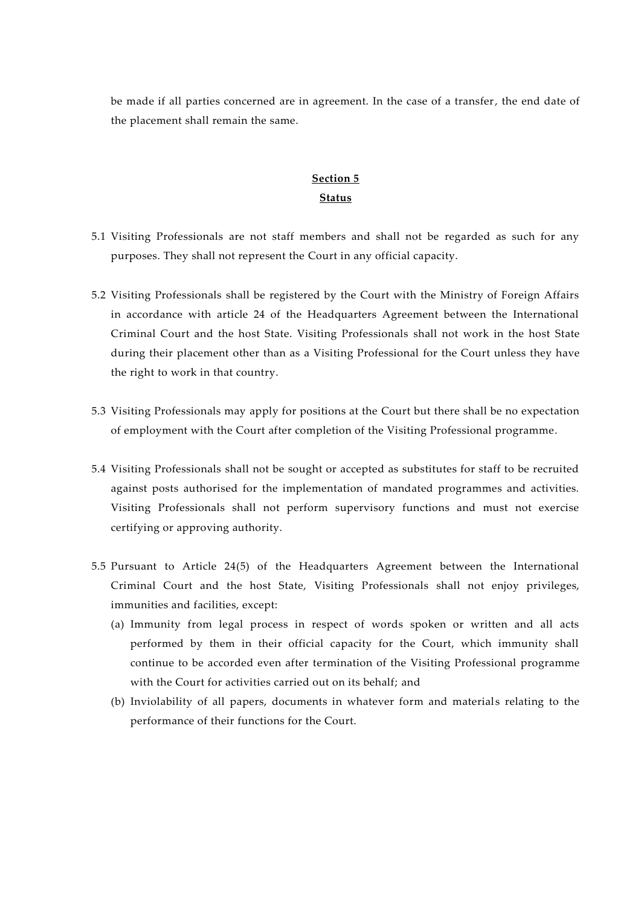be made if all parties concerned are in agreement. In the case of a transfer, the end date of the placement shall remain the same.

### **Section 5 Status**

- 5.1 Visiting Professionals are not staff members and shall not be regarded as such for any purposes. They shall not represent the Court in any official capacity.
- 5.2 Visiting Professionals shall be registered by the Court with the Ministry of Foreign Affairs in accordance with article 24 of the Headquarters Agreement between the International Criminal Court and the host State. Visiting Professionals shall not work in the host State during their placement other than as a Visiting Professional for the Court unless they have the right to work in that country.
- 5.3 Visiting Professionals may apply for positions at the Court but there shall be no expectation of employment with the Court after completion of the Visiting Professional programme.
- 5.4 Visiting Professionals shall not be sought or accepted as substitutes for staff to be recruited against posts authorised for the implementation of mandated programmes and activities. Visiting Professionals shall not perform supervisory functions and must not exercise certifying or approving authority.
- 5.5 Pursuant to Article 24(5) of the Headquarters Agreement between the International Criminal Court and the host State, Visiting Professionals shall not enjoy privileges, immunities and facilities, except:
	- (a) Immunity from legal process in respect of words spoken or written and all acts performed by them in their official capacity for the Court, which immunity shall continue to be accorded even after termination of the Visiting Professional programme with the Court for activities carried out on its behalf; and
	- (b) Inviolability of all papers, documents in whatever form and materials relating to the performance of their functions for the Court.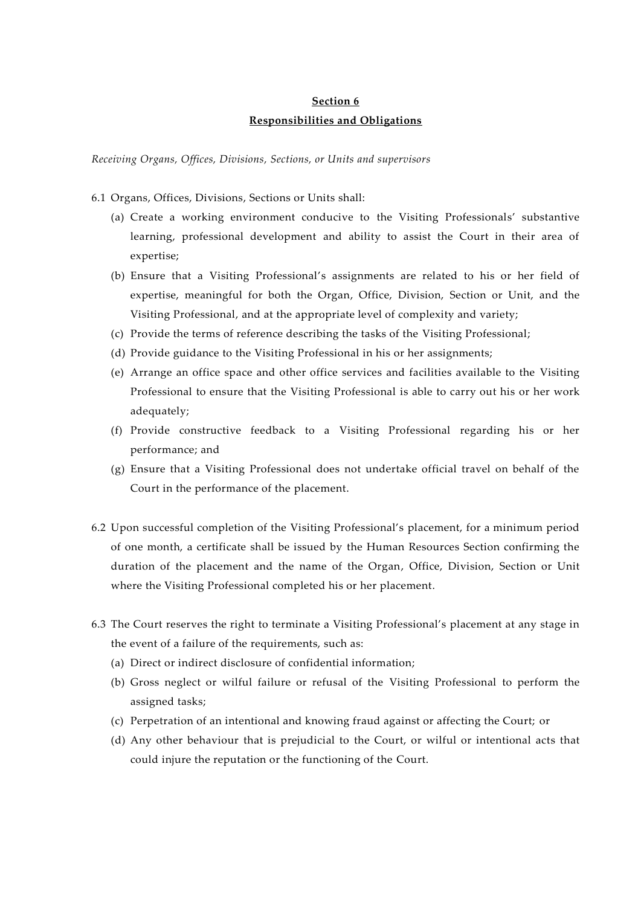## **Section 6 Responsibilities and Obligations**

*Receiving Organs, Offices, Divisions, Sections, or Units and supervisors*

- 6.1 Organs, Offices, Divisions, Sections or Units shall:
	- (a) Create a working environment conducive to the Visiting Professionals' substantive learning, professional development and ability to assist the Court in their area of expertise;
	- (b) Ensure that a Visiting Professional's assignments are related to his or her field of expertise, meaningful for both the Organ, Office, Division, Section or Unit, and the Visiting Professional, and at the appropriate level of complexity and variety;
	- (c) Provide the terms of reference describing the tasks of the Visiting Professional;
	- (d) Provide guidance to the Visiting Professional in his or her assignments;
	- (e) Arrange an office space and other office services and facilities available to the Visiting Professional to ensure that the Visiting Professional is able to carry out his or her work adequately;
	- (f) Provide constructive feedback to a Visiting Professional regarding his or her performance; and
	- (g) Ensure that a Visiting Professional does not undertake official travel on behalf of the Court in the performance of the placement.
- 6.2 Upon successful completion of the Visiting Professional's placement, for a minimum period of one month, a certificate shall be issued by the Human Resources Section confirming the duration of the placement and the name of the Organ, Office, Division, Section or Unit where the Visiting Professional completed his or her placement.
- 6.3 The Court reserves the right to terminate a Visiting Professional's placement at any stage in the event of a failure of the requirements, such as:
	- (a) Direct or indirect disclosure of confidential information;
	- (b) Gross neglect or wilful failure or refusal of the Visiting Professional to perform the assigned tasks;
	- (c) Perpetration of an intentional and knowing fraud against or affecting the Court; or
	- (d) Any other behaviour that is prejudicial to the Court, or wilful or intentional acts that could injure the reputation or the functioning of the Court.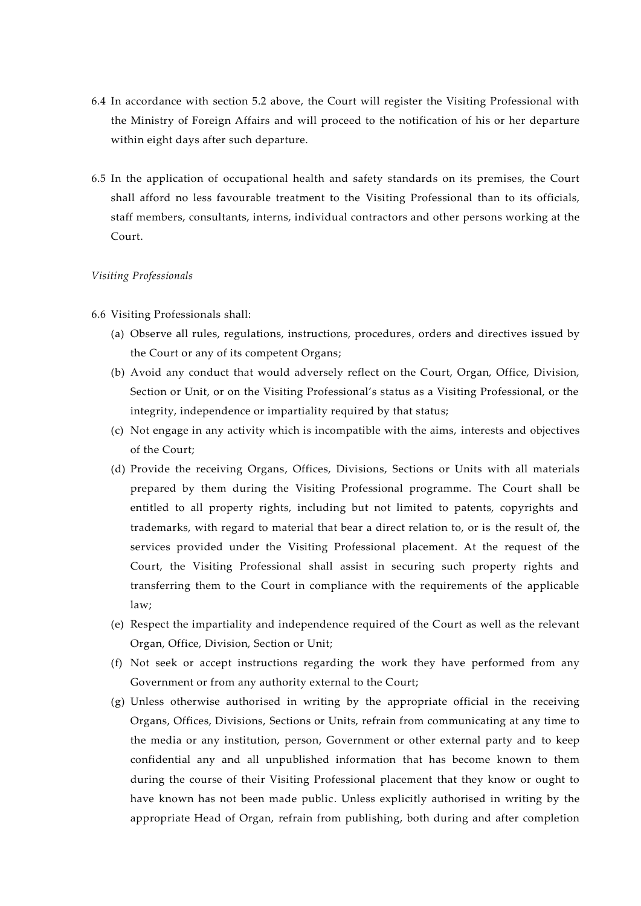- 6.4 In accordance with section 5.2 above, the Court will register the Visiting Professional with the Ministry of Foreign Affairs and will proceed to the notification of his or her departure within eight days after such departure.
- 6.5 In the application of occupational health and safety standards on its premises, the Court shall afford no less favourable treatment to the Visiting Professional than to its officials, staff members, consultants, interns, individual contractors and other persons working at the Court.

#### *Visiting Professionals*

- 6.6 Visiting Professionals shall:
	- (a) Observe all rules, regulations, instructions, procedures, orders and directives issued by the Court or any of its competent Organs;
	- (b) Avoid any conduct that would adversely reflect on the Court, Organ, Office, Division, Section or Unit, or on the Visiting Professional's status as a Visiting Professional, or the integrity, independence or impartiality required by that status;
	- (c) Not engage in any activity which is incompatible with the aims, interests and objectives of the Court;
	- (d) Provide the receiving Organs, Offices, Divisions, Sections or Units with all materials prepared by them during the Visiting Professional programme. The Court shall be entitled to all property rights, including but not limited to patents, copyrights and trademarks, with regard to material that bear a direct relation to, or is the result of, the services provided under the Visiting Professional placement. At the request of the Court, the Visiting Professional shall assist in securing such property rights and transferring them to the Court in compliance with the requirements of the applicable law;
	- (e) Respect the impartiality and independence required of the Court as well as the relevant Organ, Office, Division, Section or Unit;
	- (f) Not seek or accept instructions regarding the work they have performed from any Government or from any authority external to the Court;
	- (g) Unless otherwise authorised in writing by the appropriate official in the receiving Organs, Offices, Divisions, Sections or Units, refrain from communicating at any time to the media or any institution, person, Government or other external party and to keep confidential any and all unpublished information that has become known to them during the course of their Visiting Professional placement that they know or ought to have known has not been made public. Unless explicitly authorised in writing by the appropriate Head of Organ, refrain from publishing, both during and after completion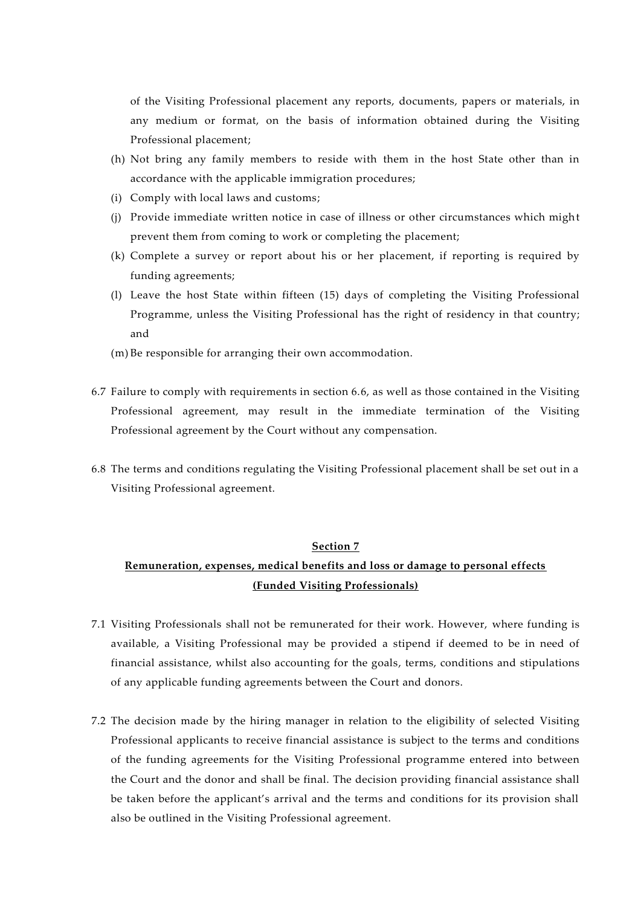of the Visiting Professional placement any reports, documents, papers or materials, in any medium or format, on the basis of information obtained during the Visiting Professional placement;

- (h) Not bring any family members to reside with them in the host State other than in accordance with the applicable immigration procedures;
- (i) Comply with local laws and customs;
- (j) Provide immediate written notice in case of illness or other circumstances which might prevent them from coming to work or completing the placement;
- (k) Complete a survey or report about his or her placement, if reporting is required by funding agreements;
- (l) Leave the host State within fifteen (15) days of completing the Visiting Professional Programme, unless the Visiting Professional has the right of residency in that country; and
- (m) Be responsible for arranging their own accommodation.
- 6.7 Failure to comply with requirements in section 6.6, as well as those contained in the Visiting Professional agreement, may result in the immediate termination of the Visiting Professional agreement by the Court without any compensation.
- 6.8 The terms and conditions regulating the Visiting Professional placement shall be set out in a Visiting Professional agreement.

#### **Section 7**

### **Remuneration, expenses, medical benefits and loss or damage to personal effects (Funded Visiting Professionals)**

- 7.1 Visiting Professionals shall not be remunerated for their work. However, where funding is available, a Visiting Professional may be provided a stipend if deemed to be in need of financial assistance, whilst also accounting for the goals, terms, conditions and stipulations of any applicable funding agreements between the Court and donors.
- 7.2 The decision made by the hiring manager in relation to the eligibility of selected Visiting Professional applicants to receive financial assistance is subject to the terms and conditions of the funding agreements for the Visiting Professional programme entered into between the Court and the donor and shall be final. The decision providing financial assistance shall be taken before the applicant's arrival and the terms and conditions for its provision shall also be outlined in the Visiting Professional agreement.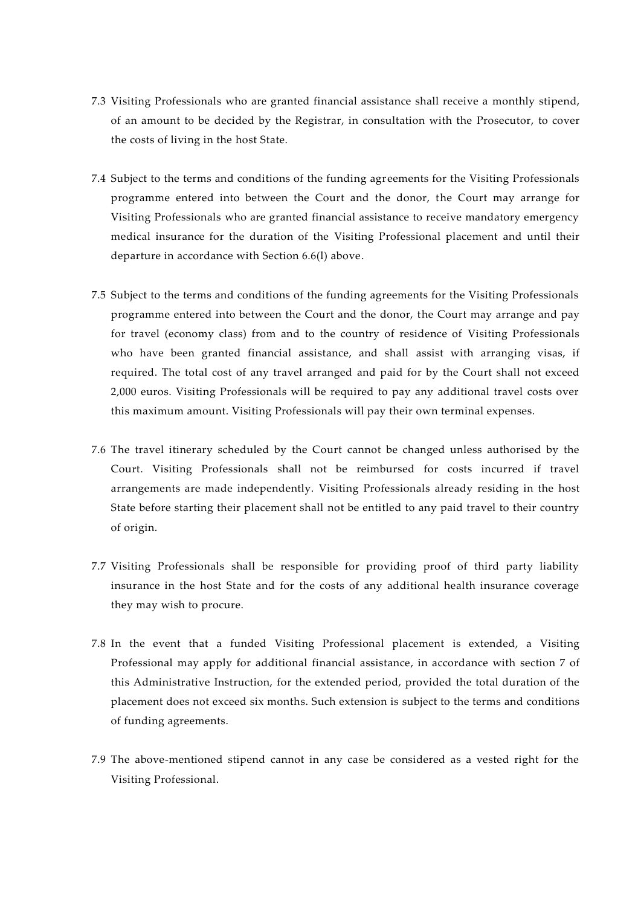- 7.3 Visiting Professionals who are granted financial assistance shall receive a monthly stipend, of an amount to be decided by the Registrar, in consultation with the Prosecutor, to cover the costs of living in the host State.
- 7.4 Subject to the terms and conditions of the funding agreements for the Visiting Professionals programme entered into between the Court and the donor, the Court may arrange for Visiting Professionals who are granted financial assistance to receive mandatory emergency medical insurance for the duration of the Visiting Professional placement and until their departure in accordance with Section 6.6(l) above.
- 7.5 Subject to the terms and conditions of the funding agreements for the Visiting Professionals programme entered into between the Court and the donor, the Court may arrange and pay for travel (economy class) from and to the country of residence of Visiting Professionals who have been granted financial assistance, and shall assist with arranging visas, if required. The total cost of any travel arranged and paid for by the Court shall not exceed 2,000 euros. Visiting Professionals will be required to pay any additional travel costs over this maximum amount. Visiting Professionals will pay their own terminal expenses.
- 7.6 The travel itinerary scheduled by the Court cannot be changed unless authorised by the Court. Visiting Professionals shall not be reimbursed for costs incurred if travel arrangements are made independently. Visiting Professionals already residing in the host State before starting their placement shall not be entitled to any paid travel to their country of origin.
- 7.7 Visiting Professionals shall be responsible for providing proof of third party liability insurance in the host State and for the costs of any additional health insurance coverage they may wish to procure.
- 7.8 In the event that a funded Visiting Professional placement is extended, a Visiting Professional may apply for additional financial assistance, in accordance with section 7 of this Administrative Instruction, for the extended period, provided the total duration of the placement does not exceed six months. Such extension is subject to the terms and conditions of funding agreements.
- 7.9 The above-mentioned stipend cannot in any case be considered as a vested right for the Visiting Professional.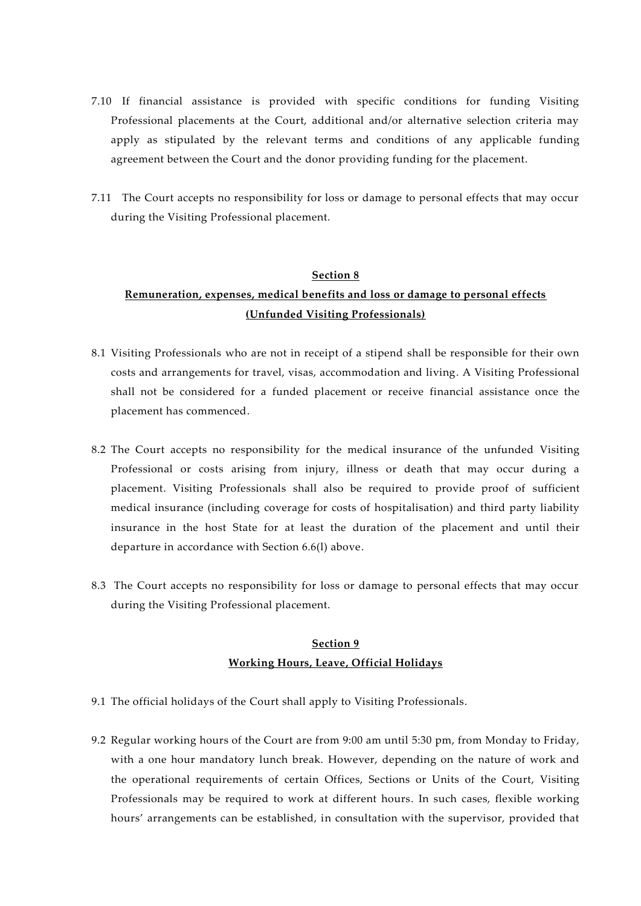- 7.10 If financial assistance is provided with specific conditions for funding Visiting Professional placements at the Court, additional and/or alternative selection criteria may apply as stipulated by the relevant terms and conditions of any applicable funding agreement between the Court and the donor providing funding for the placement.
- 7.11 The Court accepts no responsibility for loss or damage to personal effects that may occur during the Visiting Professional placement.

#### **Section 8**

# **Remuneration, expenses, medical benefits and loss or damage to personal effects (Unfunded Visiting Professionals)**

- 8.1 Visiting Professionals who are not in receipt of a stipend shall be responsible for their own costs and arrangements for travel, visas, accommodation and living. A Visiting Professional shall not be considered for a funded placement or receive financial assistance once the placement has commenced.
- 8.2 The Court accepts no responsibility for the medical insurance of the unfunded Visiting Professional or costs arising from injury, illness or death that may occur during a placement. Visiting Professionals shall also be required to provide proof of sufficient medical insurance (including coverage for costs of hospitalisation) and third party liability insurance in the host State for at least the duration of the placement and until their departure in accordance with Section 6.6(l) above.
- 8.3 The Court accepts no responsibility for loss or damage to personal effects that may occur during the Visiting Professional placement.

## **Section 9 Working Hours, Leave, Official Holidays**

- 9.1 The official holidays of the Court shall apply to Visiting Professionals.
- 9.2 Regular working hours of the Court are from 9:00 am until 5:30 pm, from Monday to Friday, with a one hour mandatory lunch break. However, depending on the nature of work and the operational requirements of certain Offices, Sections or Units of the Court, Visiting Professionals may be required to work at different hours. In such cases, flexible working hours' arrangements can be established, in consultation with the supervisor, provided that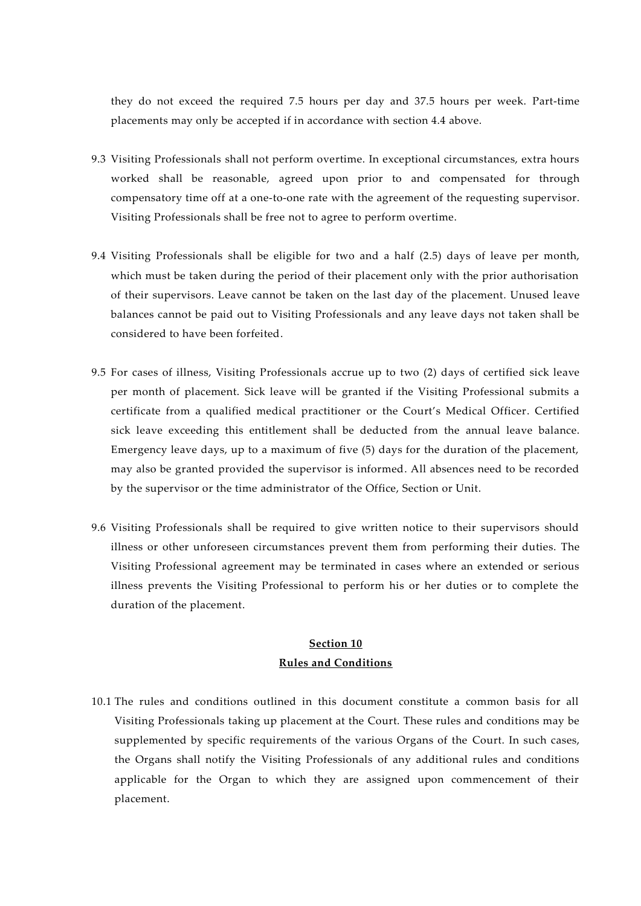they do not exceed the required 7.5 hours per day and 37.5 hours per week. Part-time placements may only be accepted if in accordance with section 4.4 above.

- 9.3 Visiting Professionals shall not perform overtime. In exceptional circumstances, extra hours worked shall be reasonable, agreed upon prior to and compensated for through compensatory time off at a one-to-one rate with the agreement of the requesting supervisor. Visiting Professionals shall be free not to agree to perform overtime.
- 9.4 Visiting Professionals shall be eligible for two and a half (2.5) days of leave per month, which must be taken during the period of their placement only with the prior authorisation of their supervisors. Leave cannot be taken on the last day of the placement. Unused leave balances cannot be paid out to Visiting Professionals and any leave days not taken shall be considered to have been forfeited.
- 9.5 For cases of illness, Visiting Professionals accrue up to two (2) days of certified sick leave per month of placement. Sick leave will be granted if the Visiting Professional submits a certificate from a qualified medical practitioner or the Court's Medical Officer. Certified sick leave exceeding this entitlement shall be deducted from the annual leave balance. Emergency leave days, up to a maximum of five (5) days for the duration of the placement, may also be granted provided the supervisor is informed. All absences need to be recorded by the supervisor or the time administrator of the Office, Section or Unit.
- 9.6 Visiting Professionals shall be required to give written notice to their supervisors should illness or other unforeseen circumstances prevent them from performing their duties. The Visiting Professional agreement may be terminated in cases where an extended or serious illness prevents the Visiting Professional to perform his or her duties or to complete the duration of the placement.

### **Section 10 Rules and Conditions**

10.1 The rules and conditions outlined in this document constitute a common basis for all Visiting Professionals taking up placement at the Court. These rules and conditions may be supplemented by specific requirements of the various Organs of the Court. In such cases, the Organs shall notify the Visiting Professionals of any additional rules and conditions applicable for the Organ to which they are assigned upon commencement of their placement.